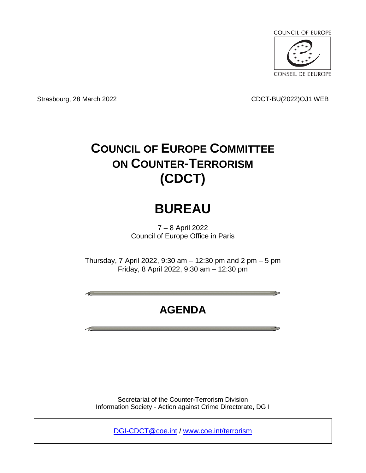

Strasbourg, 28 March 2022 CDCT-BU(2022)OJ1 WEB

# **COUNCIL OF EUROPE COMMITTEE ON COUNTER-TERRORISM (CDCT)**

## **BUREAU**

7 – 8 April 2022 Council of Europe Office in Paris

Thursday, 7 April 2022, 9:30 am – 12:30 pm and 2 pm – 5 pm Friday, 8 April 2022, 9:30 am – 12:30 pm

## **AGENDA**

Secretariat of the Counter-Terrorism Division Information Society - Action against Crime Directorate, DG I

[DGI-CDCT@coe.int](mailto:DGI-CDCT@coe.int) / [www.coe.int/terrorism](http://www.coe.int/terrorism)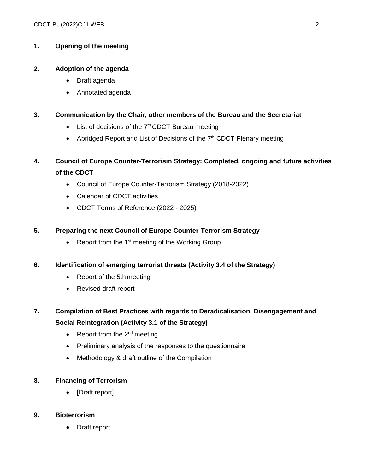#### **1. Opening of the meeting**

#### **2. Adoption of the agenda**

- Draft agenda
- Annotated agenda

#### **3. Communication by the Chair, other members of the Bureau and the Secretariat**

- $\bullet$  List of decisions of the  $7<sup>th</sup>$  CDCT Bureau meeting
- Abridged Report and List of Decisions of the  $7<sup>th</sup>$  CDCT Plenary meeting

 $\_$  ,  $\_$  ,  $\_$  ,  $\_$  ,  $\_$  ,  $\_$  ,  $\_$  ,  $\_$  ,  $\_$  ,  $\_$  ,  $\_$  ,  $\_$  ,  $\_$  ,  $\_$  ,  $\_$  ,  $\_$  ,  $\_$  ,  $\_$  ,  $\_$  ,  $\_$  ,  $\_$  ,  $\_$  ,  $\_$  ,  $\_$  ,  $\_$  ,  $\_$  ,  $\_$  ,  $\_$  ,  $\_$  ,  $\_$  ,  $\_$  ,  $\_$  ,  $\_$  ,  $\_$  ,  $\_$  ,  $\_$  ,  $\_$  ,

### **4. Council of Europe Counter-Terrorism Strategy: Completed, ongoing and future activities of the CDCT**

- Council of Europe Counter-Terrorism Strategy (2018-2022)
- Calendar of CDCT activities
- CDCT Terms of Reference (2022 2025)

#### **5. Preparing the next Council of Europe Counter-Terrorism Strategy**

• Report from the  $1<sup>st</sup>$  meeting of the Working Group

#### **6. Identification of emerging terrorist threats (Activity 3.4 of the Strategy)**

- Report of the 5th meeting
- Revised draft report

### **7. Compilation of Best Practices with regards to Deradicalisation, Disengagement and Social Reintegration (Activity 3.1 of the Strategy)**

- Report from the  $2^{nd}$  meeting
- Preliminary analysis of the responses to the questionnaire
- Methodology & draft outline of the Compilation

#### **8. Financing of Terrorism**

• [Draft report]

#### **9. Bioterrorism**

Draft report